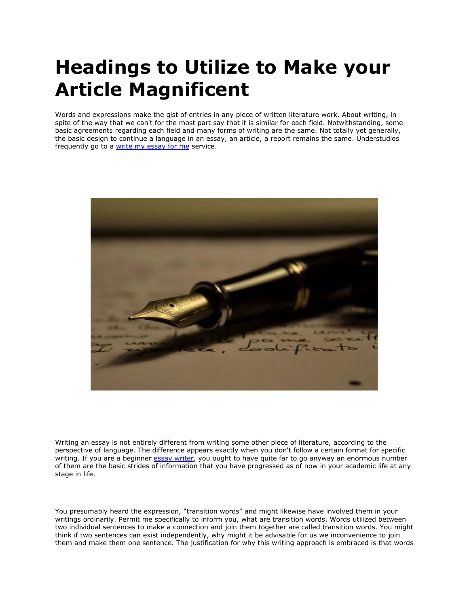# **Headings to Utilize to Make your Article Magnificent**

Words and expressions make the gist of entries in any piece of written literature work. About writing, in spite of the way that we can't for the most part say that it is similar for each field. Notwithstanding, some basic agreements regarding each field and many forms of writing are the same. Not totally yet generally, the basic design to continue a language in an essay, an article, a report remains the same. Understudies frequently go to a [write my essay for me](https://writemyessayfast.net/) service.



Writing an essay is not entirely different from writing some other piece of literature, according to the perspective of language. The difference appears exactly when you don't follow a certain format for specific writing. If you are a beginner [essay writer,](https://essayhours.com/) you ought to have quite far to go anyway an enormous number of them are the basic strides of information that you have progressed as of now in your academic life at any stage in life.

You presumably heard the expression, "transition words" and might likewise have involved them in your writings ordinarily. Permit me specifically to inform you, what are transition words. Words utilized between two individual sentences to make a connection and join them together are called transition words. You might think if two sentences can exist independently, why might it be advisable for us we inconvenience to join them and make them one sentence. The justification for why this writing approach is embraced is that words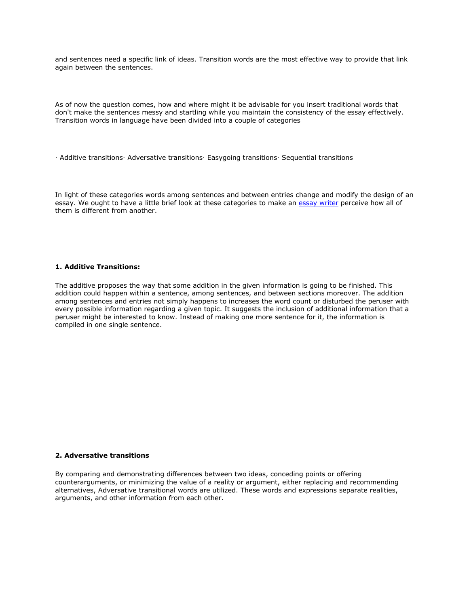and sentences need a specific link of ideas. Transition words are the most effective way to provide that link again between the sentences.

As of now the question comes, how and where might it be advisable for you insert traditional words that don't make the sentences messy and startling while you maintain the consistency of the essay effectively. Transition words in language have been divided into a couple of categories

· Additive transitions· Adversative transitions· Easygoing transitions· Sequential transitions

In light of these categories words among sentences and between entries change and modify the design of an essay. We ought to have a little brief look at these categories to make an [essay writer](https://essaywriternow.com/) perceive how all of them is different from another.

## **1. Additive Transitions:**

The additive proposes the way that some addition in the given information is going to be finished. This addition could happen within a sentence, among sentences, and between sections moreover. The addition among sentences and entries not simply happens to increases the word count or disturbed the peruser with every possible information regarding a given topic. It suggests the inclusion of additional information that a peruser might be interested to know. Instead of making one more sentence for it, the information is compiled in one single sentence.

### **2. Adversative transitions**

By comparing and demonstrating differences between two ideas, conceding points or offering counterarguments, or minimizing the value of a reality or argument, either replacing and recommending alternatives, Adversative transitional words are utilized. These words and expressions separate realities, arguments, and other information from each other.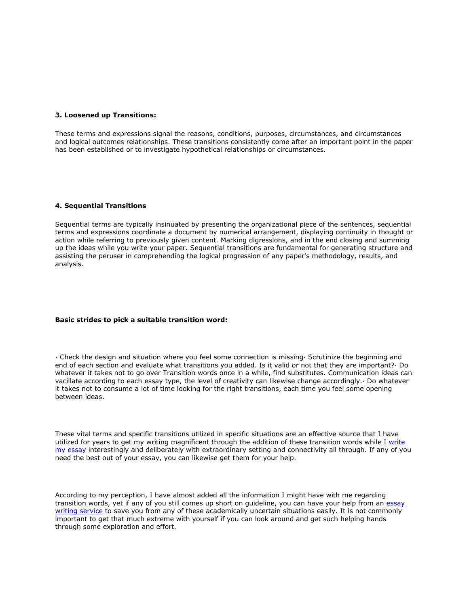#### **3. Loosened up Transitions:**

These terms and expressions signal the reasons, conditions, purposes, circumstances, and circumstances and logical outcomes relationships. These transitions consistently come after an important point in the paper has been established or to investigate hypothetical relationships or circumstances.

#### **4. Sequential Transitions**

Sequential terms are typically insinuated by presenting the organizational piece of the sentences, sequential terms and expressions coordinate a document by numerical arrangement, displaying continuity in thought or action while referring to previously given content. Marking digressions, and in the end closing and summing up the ideas while you write your paper. Sequential transitions are fundamental for generating structure and assisting the peruser in comprehending the logical progression of any paper's methodology, results, and analysis.

## **Basic strides to pick a suitable transition word:**

· Check the design and situation where you feel some connection is missing· Scrutinize the beginning and end of each section and evaluate what transitions you added. Is it valid or not that they are important?· Do whatever it takes not to go over Transition words once in a while, find substitutes. Communication ideas can vacillate according to each essay type, the level of creativity can likewise change accordingly.· Do whatever it takes not to consume a lot of time looking for the right transitions, each time you feel some opening between ideas.

These vital terms and specific transitions utilized in specific situations are an effective source that I have utilized for years to get my writing magnificent through the addition of these transition words while I write [my essay](https://writemyessayfast.net/) interestingly and deliberately with extraordinary setting and connectivity all through. If any of you need the best out of your essay, you can likewise get them for your help.

According to my perception, I have almost added all the information I might have with me regarding transition words, yet if any of you still comes up short on guideline, you can have your help from an [essay](https://www.essaywritingservice.college/)  [writing service](https://www.essaywritingservice.college/) to save you from any of these academically uncertain situations easily. It is not commonly important to get that much extreme with yourself if you can look around and get such helping hands through some exploration and effort.